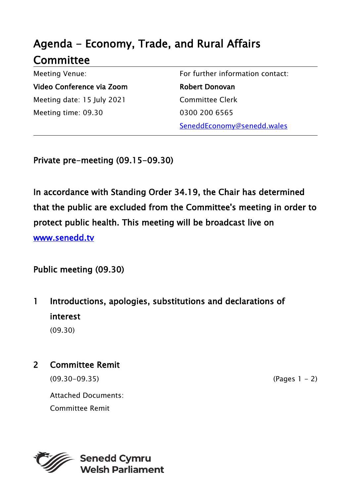# Agenda - Economy, Trade, and Rural Affairs **Committee**

Meeting Venue: Video Conference via Zoom Meeting date: 15 July 2021 Meeting time: 09.30

For further information contact: Robert Donovan Committee Clerk 0300 200 6565 SeneddEconomy@senedd.wales

Private pre-meeting (09.15-09.30)

In accordance with Standing Order 34.19, the Chair has determined that the public are excluded from the Committee's meeting in order to protect public health. This meeting will be broadcast live on [www.senedd.tv](http://www.senedd.tv/) 

Public meeting (09.30)

1 Introductions, apologies, substitutions and declarations of interest (09.30)

2 Committee Remit

 $(09.30-09.35)$  (Pages 1 - 2)

Attached Documents: Committee Remit

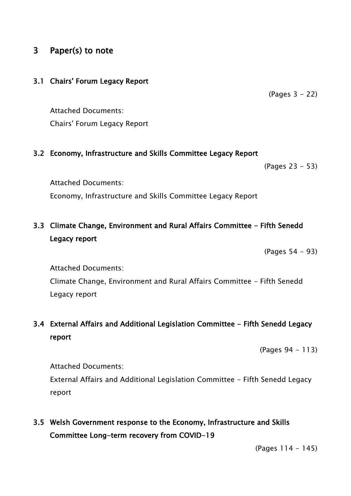## 3 Paper(s) to note

#### 3.1 Chairs' Forum Legacy Report

(Pages 3 - 22)

Attached Documents: Chairs' Forum Legacy Report

#### 3.2 Economy, Infrastructure and Skills Committee Legacy Report

(Pages 23 - 53)

Attached Documents: Economy, Infrastructure and Skills Committee Legacy Report

# 3.3 Climate Change, Environment and Rural Affairs Committee - Fifth Senedd Legacy report

(Pages 54 - 93)

Attached Documents:

Climate Change, Environment and Rural Affairs Committee - Fifth Senedd Legacy report

## 3.4 External Affairs and Additional Legislation Committee - Fifth Senedd Legacy report

(Pages 94 - 113)

Attached Documents:

External Affairs and Additional Legislation Committee - Fifth Senedd Legacy report

3.5 Welsh Government response to the Economy, Infrastructure and Skills Committee Long-term recovery from COVID-19

(Pages 114 - 145)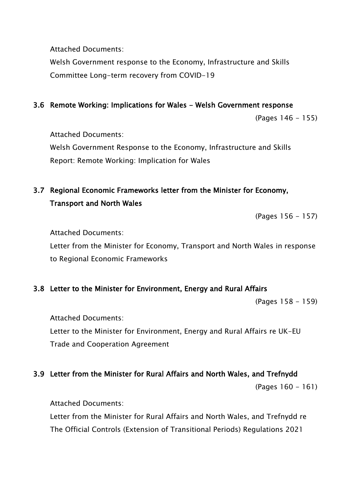Attached Documents:

Welsh Government response to the Economy, Infrastructure and Skills Committee Long-term recovery from COVID-19

### 3.6 Remote Working: Implications for Wales - Welsh Government response

(Pages 146 - 155)

Attached Documents:

Welsh Government Response to the Economy, Infrastructure and Skills Report: Remote Working: Implication for Wales

# 3.7 Regional Economic Frameworks letter from the Minister for Economy, Transport and North Wales

(Pages 156 - 157)

Attached Documents:

Letter from the Minister for Economy, Transport and North Wales in response to Regional Economic Frameworks

## 3.8 Letter to the Minister for Environment, Energy and Rural Affairs

(Pages 158 - 159)

Attached Documents:

Letter to the Minister for Environment, Energy and Rural Affairs re UK-EU Trade and Cooperation Agreement

#### 3.9 Letter from the Minister for Rural Affairs and North Wales, and Trefnydd

(Pages 160 - 161)

Attached Documents:

Letter from the Minister for Rural Affairs and North Wales, and Trefnydd re The Official Controls (Extension of Transitional Periods) Regulations 2021